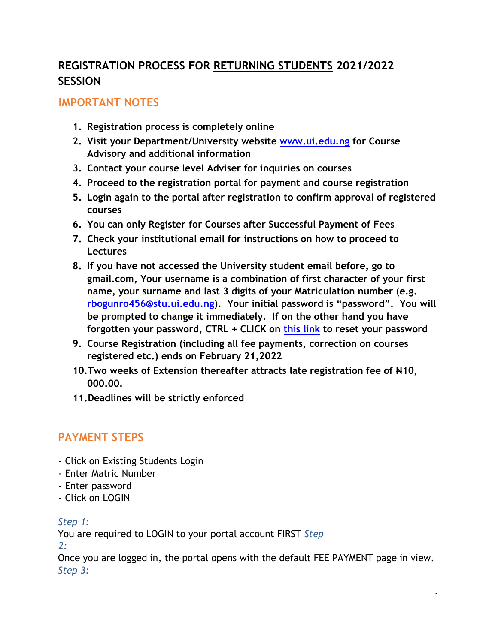## **REGISTRATION PROCESS FOR RETURNING STUDENTS 2021/2022 SESSION**

## **IMPORTANT NOTES**

- **1. Registration process is completely online**
- **2. Visit your Department/University website [www.ui.edu.ng](http://www.ui.edu.ng/) [f](http://www.ui.edu.ng/)or Course Advisory and additional information**
- **3. Contact your course level Adviser for inquiries on courses**
- **4. Proceed to the registration portal for payment and course registration**
- **5. Login again to the portal after registration to confirm approval of registered courses**
- **6. You can only Register for Courses after Successful Payment of Fees**
- **7. Check your institutional email for instructions on how to proceed to Lectures**
- **8. If you have not accessed the University student email before, go to gmail.com, Your username is a combination of first character of your first name, your surname and last 3 digits of your Matriculation number (e.g. rbogunro456@stu.ui.edu.ng). Your initial password is "password". You will be prompted to change it immediately. If on the other hand you have forgotten your password, CTRL + CLICK on [this link](http://osmis.ui.edu.ng/login) to reset your password**
- **9. Course Registration (including all fee payments, correction on courses registered etc.) ends on February 21,2022**
- **10. Two weeks of Extension thereafter attracts late registration fee of #10, 000.00.**
- **11.Deadlines will be strictly enforced**

## **PAYMENT STEPS**

- Click on Existing Students Login
- Enter Matric Number
- Enter password
- Click on LOGIN

### *Step 1:*

You are required to LOGIN to your portal account FIRST *Step 2:* 

Once you are logged in, the portal opens with the default FEE PAYMENT page in view. *Step 3:*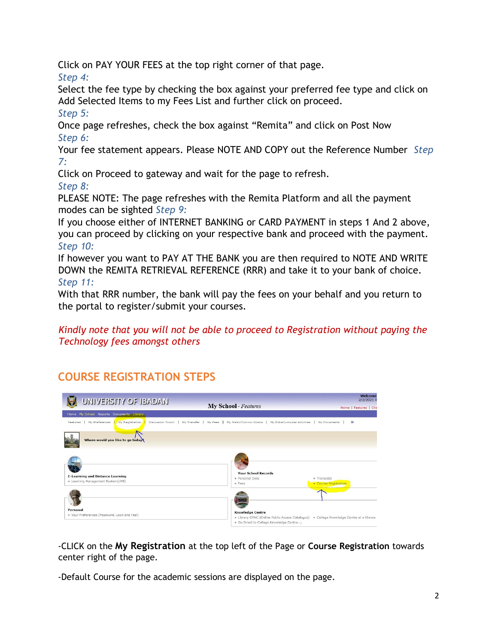Click on PAY YOUR FEES at the top right corner of that page.

*Step 4:* 

Select the fee type by checking the box against your preferred fee type and click on Add Selected Items to my Fees List and further click on proceed.

*Step 5:* 

Once page refreshes, check the box against "Remita" and click on Post Now *Step 6:* 

Your fee statement appears. Please NOTE AND COPY out the Reference Number *Step 7:* 

Click on Proceed to gateway and wait for the page to refresh.

*Step 8:* 

PLEASE NOTE: The page refreshes with the Remita Platform and all the payment modes can be sighted *Step 9:* 

If you choose either of INTERNET BANKING or CARD PAYMENT in steps 1 And 2 above, you can proceed by clicking on your respective bank and proceed with the payment. *Step 10:* 

If however you want to PAY AT THE BANK you are then required to NOTE AND WRITE DOWN the REMITA RETRIEVAL REFERENCE (RRR) and take it to your bank of choice. *Step 11:* 

With that RRR number, the bank will pay the fees on your behalf and you return to the portal to register/submit your courses.

*Kindly note that you will not be able to proceed to Registration without paying the Technology fees amongst others* 

# **COURSE REGISTRATION STEPS**



-CLICK on the **My Registration** at the top left of the Page or **Course Registration** towards center right of the page.

-Default Course for the academic sessions are displayed on the page.